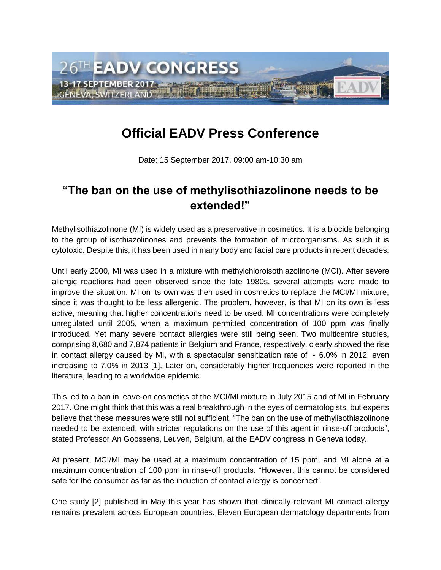

## **Official EADV Press Conference**

Date: 15 September 2017, 09:00 am-10:30 am

## **"The ban on the use of methylisothiazolinone needs to be extended!"**

Methylisothiazolinone (MI) is widely used as a preservative in cosmetics. It is a biocide belonging to the group of isothiazolinones and prevents the formation of microorganisms. As such it is cytotoxic. Despite this, it has been used in many body and facial care products in recent decades.

Until early 2000, MI was used in a mixture with methylchloroisothiazolinone (MCI). After severe allergic reactions had been observed since the late 1980s, several attempts were made to improve the situation. MI on its own was then used in cosmetics to replace the MCI/MI mixture, since it was thought to be less allergenic. The problem, however, is that MI on its own is less active, meaning that higher concentrations need to be used. MI concentrations were completely unregulated until 2005, when a maximum permitted concentration of 100 ppm was finally introduced. Yet many severe contact allergies were still being seen. Two multicentre studies, comprising 8,680 and 7,874 patients in Belgium and France, respectively, clearly showed the rise in contact allergy caused by MI, with a spectacular sensitization rate of ∼ 6.0% in 2012, even increasing to 7.0% in 2013 [1]. Later on, considerably higher frequencies were reported in the literature, leading to a worldwide epidemic.

This led to a ban in leave-on cosmetics of the MCI/MI mixture in July 2015 and of MI in February 2017. One might think that this was a real breakthrough in the eyes of dermatologists, but experts believe that these measures were still not sufficient. "The ban on the use of methylisothiazolinone needed to be extended, with stricter regulations on the use of this agent in rinse-off products", stated Professor An Goossens, Leuven, Belgium, at the EADV congress in Geneva today.

At present, MCI/MI may be used at a maximum concentration of 15 ppm, and MI alone at a maximum concentration of 100 ppm in rinse-off products. "However, this cannot be considered safe for the consumer as far as the induction of contact allergy is concerned".

One study [2] published in May this year has shown that clinically relevant MI contact allergy remains prevalent across European countries. Eleven European dermatology departments from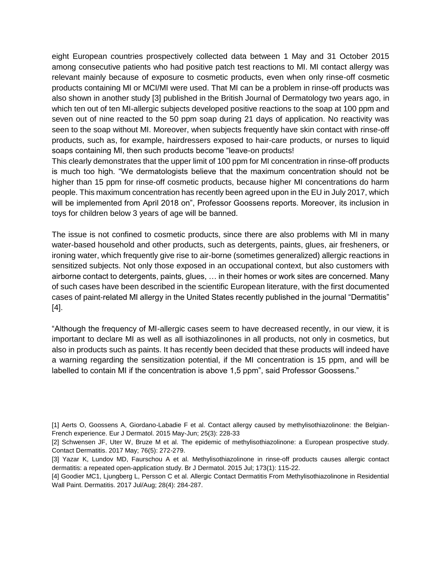eight European countries prospectively collected data between 1 May and 31 October 2015 among consecutive patients who had positive patch test reactions to MI. MI contact allergy was relevant mainly because of exposure to cosmetic products, even when only rinse-off cosmetic products containing MI or MCI/MI were used. That MI can be a problem in rinse-off products was also shown in another study [3] published in the British Journal of Dermatology two years ago, in which ten out of ten MI-allergic subjects developed positive reactions to the soap at 100 ppm and seven out of nine reacted to the 50 ppm soap during 21 days of application. No reactivity was seen to the soap without MI. Moreover, when subjects frequently have skin contact with rinse-off products, such as, for example, hairdressers exposed to hair-care products, or nurses to liquid soaps containing MI, then such products become "leave-on products!

This clearly demonstrates that the upper limit of 100 ppm for MI concentration in rinse-off products is much too high. "We dermatologists believe that the maximum concentration should not be higher than 15 ppm for rinse-off cosmetic products, because higher MI concentrations do harm people. This maximum concentration has recently been agreed upon in the EU in July 2017, which will be implemented from April 2018 on", Professor Goossens reports. Moreover, its inclusion in toys for children below 3 years of age will be banned.

The issue is not confined to cosmetic products, since there are also problems with MI in many water-based household and other products, such as detergents, paints, glues, air fresheners, or ironing water, which frequently give rise to air-borne (sometimes generalized) allergic reactions in sensitized subjects. Not only those exposed in an occupational context, but also customers with airborne contact to detergents, paints, glues, … in their homes or work sites are concerned. Many of such cases have been described in the scientific European literature, with the first documented cases of paint-related MI allergy in the United States recently published in the journal "Dermatitis" [4].

"Although the frequency of MI-allergic cases seem to have decreased recently, in our view, it is important to declare MI as well as all isothiazolinones in all products, not only in cosmetics, but also in products such as paints. It has recently been decided that these products will indeed have a warning regarding the sensitization potential, if the MI concentration is 15 ppm, and will be labelled to contain MI if the concentration is above 1,5 ppm", said Professor Goossens."

<sup>[1]</sup> Aerts O, Goossens A, Giordano-Labadie F et al. Contact allergy caused by methylisothiazolinone: the Belgian-French experience. Eur J Dermatol. 2015 May-Jun; 25(3): 228-33

<sup>[2]</sup> Schwensen JF, Uter W, Bruze M et al. The epidemic of methylisothiazolinone: a European prospective study. Contact Dermatitis. 2017 May; 76(5): 272-279.

<sup>[3]</sup> Yazar K, Lundov MD, Faurschou A et al. Methylisothiazolinone in rinse-off products causes allergic contact dermatitis: a repeated open-application study. Br J Dermatol. 2015 Jul; 173(1): 115-22.

<sup>[4]</sup> Goodier MC1, Ljungberg L, Persson C et al. Allergic Contact Dermatitis From Methylisothiazolinone in Residential Wall Paint. Dermatitis. 2017 Jul/Aug; 28(4): 284-287.